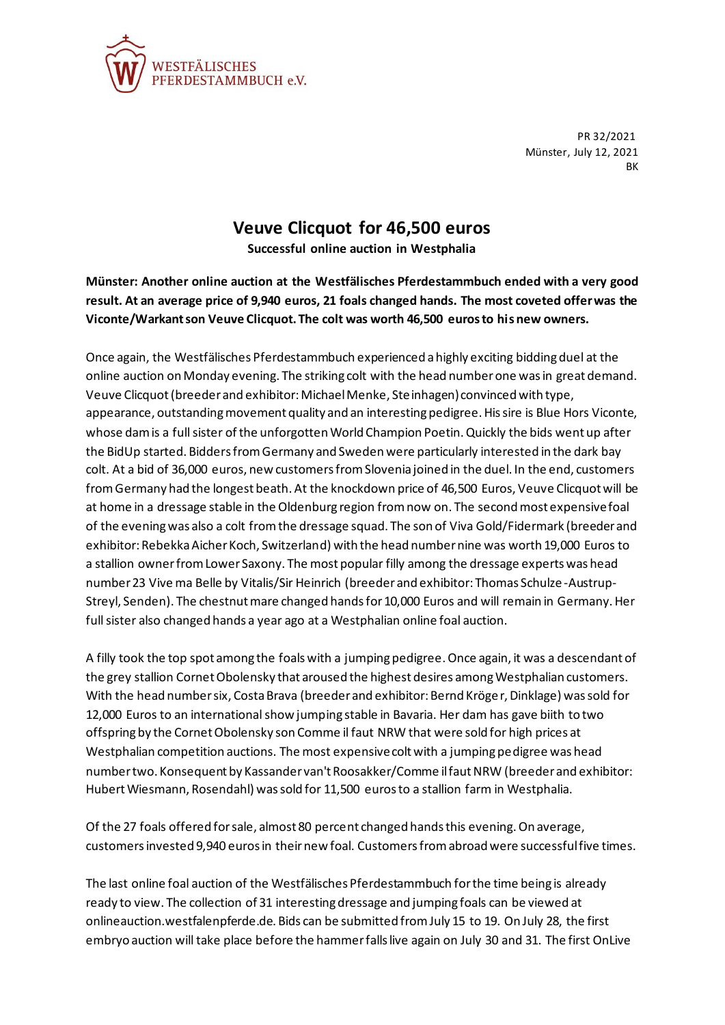

PR 32/2021 Münster, July 12, 2021 BK

## **Veuve Clicquot for 46,500 euros**

**Successful online auction in Westphalia**

**Münster: Another online auction at the Westfälisches Pferdestammbuch ended with a very good result. At an average price of 9,940 euros, 21 foals changed hands. The most coveted offer was the Viconte/Warkant son Veuve Clicquot. The colt was worth 46,500 euros to his new owners.**

Once again, the Westfälisches Pferdestammbuch experienced a highly exciting bidding duel at the online auction on Monday evening. The striking colt with the head number one was in great demand. Veuve Clicquot (breeder and exhibitor: Michael Menke, Steinhagen) convinced with type, appearance, outstanding movement quality and an interesting pedigree. His sire is Blue Hors Viconte, whose dam is a full sister of the unforgotten World Champion Poetin. Quickly the bids went up after the BidUp started. Bidders from Germany and Sweden were particularly interested in the dark bay colt. At a bid of 36,000 euros, new customers from Slovenia joined in the duel. In the end, customers from Germany had the longest beath. At the knockdown price of 46,500 Euros, Veuve Clicquot will be at home in a dressage stable in the Oldenburg region from now on. The second most expensive foal of the evening was also a colt from the dressage squad. The son of Viva Gold/Fidermark (breeder and exhibitor: Rebekka Aicher Koch, Switzerland) with the head number nine was worth 19,000 Euros to a stallion owner from Lower Saxony. The most popular filly among the dressage experts was head number 23 Vive ma Belle by Vitalis/Sir Heinrich (breeder and exhibitor: Thomas Schulze -Austrup-Streyl, Senden). The chestnut mare changed hands for 10,000 Euros and will remain in Germany. Her full sister also changed hands a year ago at a Westphalian online foal auction.

A filly took the top spot among the foals with a jumping pedigree. Once again, it was a descendant of the grey stallion Cornet Obolensky that aroused the highest desires among Westphalian customers. With the head number six, Costa Brava (breeder and exhibitor: Bernd Kröger, Dinklage) was sold for 12,000 Euros to an international show jumping stable in Bavaria. Her dam has gave biith to two offspring by the Cornet Obolensky son Comme il faut NRW that were sold for high prices at Westphalian competition auctions. The most expensive colt with a jumping pedigree was head number two. Konsequent by Kassander van't Roosakker/Comme il faut NRW (breeder and exhibitor: Hubert Wiesmann, Rosendahl) was sold for 11,500 euros to a stallion farm in Westphalia.

Of the 27 foals offered for sale, almost 80 percent changed hands this evening. On average, customers invested 9,940 euros in their new foal. Customers from abroad were successful five times.

The last online foal auction of the Westfälisches Pferdestammbuch for the time being is already ready to view. The collection of 31 interesting dressage and jumping foals can be viewed at onlineauction.westfalenpferde.de. Bids can be submitted from July 15 to 19. On July 28, the first embryo auction will take place before the hammer falls live again on July 30 and 31. The first OnLive